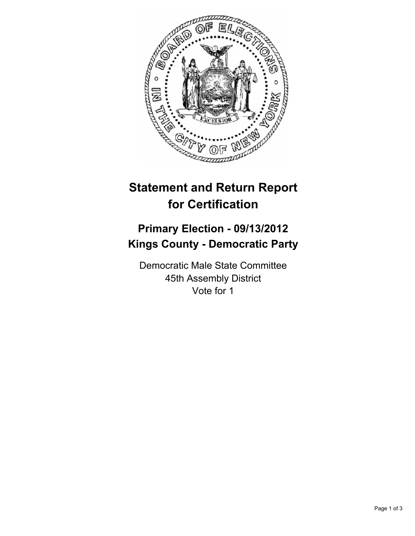

## **Statement and Return Report for Certification**

## **Primary Election - 09/13/2012 Kings County - Democratic Party**

Democratic Male State Committee 45th Assembly District Vote for 1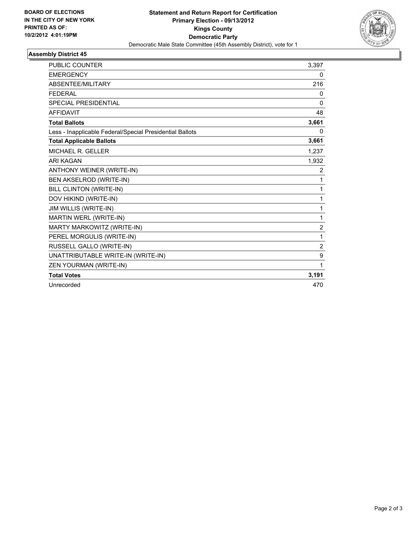

## **Assembly District 45**

| <b>PUBLIC COUNTER</b>                                    | 3,397          |
|----------------------------------------------------------|----------------|
| <b>EMERGENCY</b>                                         | 0              |
| ABSENTEE/MILITARY                                        | 216            |
| <b>FEDERAL</b>                                           | 0              |
| SPECIAL PRESIDENTIAL                                     | 0              |
| <b>AFFIDAVIT</b>                                         | 48             |
| <b>Total Ballots</b>                                     | 3,661          |
| Less - Inapplicable Federal/Special Presidential Ballots | 0              |
| <b>Total Applicable Ballots</b>                          | 3,661          |
| MICHAEL R. GELLER                                        | 1,237          |
| <b>ARI KAGAN</b>                                         | 1,932          |
| ANTHONY WEINER (WRITE-IN)                                | 2              |
| BEN AKSELROD (WRITE-IN)                                  | 1              |
| BILL CLINTON (WRITE-IN)                                  | 1              |
| DOV HIKIND (WRITE-IN)                                    | 1              |
| JIM WILLIS (WRITE-IN)                                    | 1              |
| MARTIN WERL (WRITE-IN)                                   | 1              |
| MARTY MARKOWITZ (WRITE-IN)                               | $\overline{2}$ |
| PEREL MORGULIS (WRITE-IN)                                | 1              |
| RUSSELL GALLO (WRITE-IN)                                 | $\overline{2}$ |
| UNATTRIBUTABLE WRITE-IN (WRITE-IN)                       | 9              |
| ZEN YOURMAN (WRITE-IN)                                   | 1              |
| <b>Total Votes</b>                                       | 3,191          |
| Unrecorded                                               | 470            |